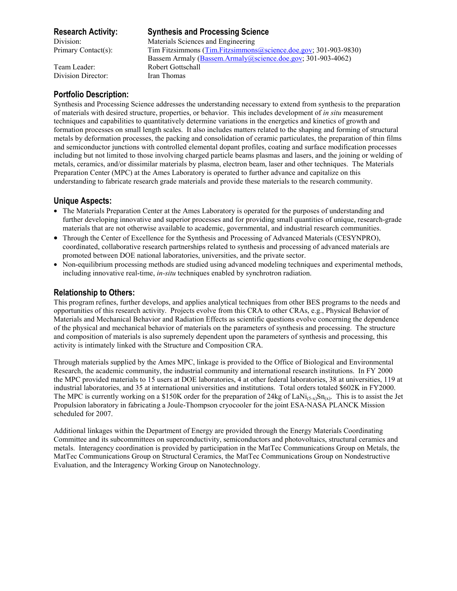Division Director: Iran Thomas

# **Research Activity: Synthesis and Processing Science**

Division: Materials Sciences and Engineering Primary Contact(s): Tim Fitzsimmons (Tim.Fitzsimmons@science.doe.gov; 301-903-9830) Bassem Armaly (Bassem.Armaly@science.doe.gov; 301-903-4062) Team Leader: Robert Gottschall

# **Portfolio Description:**

Synthesis and Processing Science addresses the understanding necessary to extend from synthesis to the preparation of materials with desired structure, properties, or behavior. This includes development of *in situ* measurement techniques and capabilities to quantitatively determine variations in the energetics and kinetics of growth and formation processes on small length scales. It also includes matters related to the shaping and forming of structural metals by deformation processes, the packing and consolidation of ceramic particulates, the preparation of thin films and semiconductor junctions with controlled elemental dopant profiles, coating and surface modification processes including but not limited to those involving charged particle beams plasmas and lasers, and the joining or welding of metals, ceramics, and/or dissimilar materials by plasma, electron beam, laser and other techniques. The Materials Preparation Center (MPC) at the Ames Laboratory is operated to further advance and capitalize on this understanding to fabricate research grade materials and provide these materials to the research community.

## **Unique Aspects:**

- The Materials Preparation Center at the Ames Laboratory is operated for the purposes of understanding and further developing innovative and superior processes and for providing small quantities of unique, research-grade materials that are not otherwise available to academic, governmental, and industrial research communities.
- Through the Center of Excellence for the Synthesis and Processing of Advanced Materials (CESYNPRO), coordinated, collaborative research partnerships related to synthesis and processing of advanced materials are promoted between DOE national laboratories, universities, and the private sector.
- Non-equilibrium processing methods are studied using advanced modeling techniques and experimental methods, including innovative real-time, *in-situ* techniques enabled by synchrotron radiation.

# **Relationship to Others:**

This program refines, further develops, and applies analytical techniques from other BES programs to the needs and opportunities of this research activity. Projects evolve from this CRA to other CRAs, e.g., Physical Behavior of Materials and Mechanical Behavior and Radiation Effects as scientific questions evolve concerning the dependence of the physical and mechanical behavior of materials on the parameters of synthesis and processing. The structure and composition of materials is also supremely dependent upon the parameters of synthesis and processing, this activity is intimately linked with the Structure and Composition CRA.

Through materials supplied by the Ames MPC, linkage is provided to the Office of Biological and Environmental Research, the academic community, the industrial community and international research institutions. In FY 2000 the MPC provided materials to 15 users at DOE laboratories, 4 at other federal laboratories, 38 at universities, 119 at industrial laboratories, and 35 at international universities and institutions. Total orders totaled \$602K in FY2000. The MPC is currently working on a \$150K order for the preparation of 24kg of LaNi<sub>(5-x)</sub>Sn<sub>(x)</sub>. This is to assist the Jet Propulsion laboratory in fabricating a Joule-Thompson cryocooler for the joint ESA-NASA PLANCK Mission scheduled for 2007.

Additional linkages within the Department of Energy are provided through the Energy Materials Coordinating Committee and its subcommittees on superconductivity, semiconductors and photovoltaics, structural ceramics and metals. Interagency coordination is provided by participation in the MatTec Communications Group on Metals, the MatTec Communications Group on Structural Ceramics, the MatTec Communications Group on Nondestructive Evaluation, and the Interagency Working Group on Nanotechnology.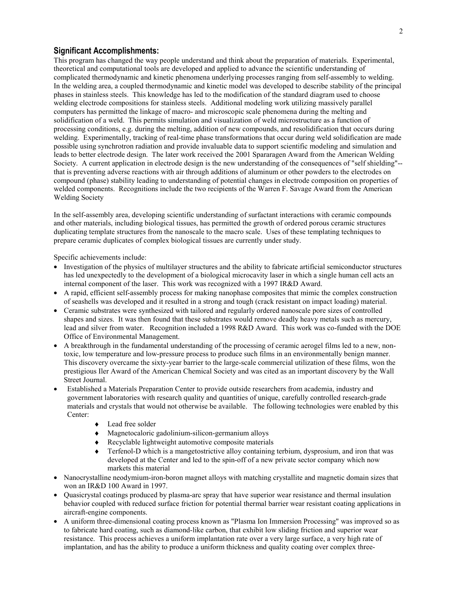## **Significant Accomplishments:**

This program has changed the way people understand and think about the preparation of materials. Experimental, theoretical and computational tools are developed and applied to advance the scientific understanding of complicated thermodynamic and kinetic phenomena underlying processes ranging from self-assembly to welding. In the welding area, a coupled thermodynamic and kinetic model was developed to describe stability of the principal phases in stainless steels. This knowledge has led to the modification of the standard diagram used to choose welding electrode compositions for stainless steels. Additional modeling work utilizing massively parallel computers has permitted the linkage of macro- and microscopic scale phenomena during the melting and solidification of a weld. This permits simulation and visualization of weld microstructure as a function of processing conditions, e.g. during the melting, addition of new compounds, and resolidification that occurs during welding. Experimentally, tracking of real-time phase transformations that occur during weld solidification are made possible using synchrotron radiation and provide invaluable data to support scientific modeling and simulation and leads to better electrode design. The later work received the 2001 Spararagen Award from the American Welding Society. A current application in electrode design is the new understanding of the consequences of "self shielding"- that is preventing adverse reactions with air through additions of aluminum or other powders to the electrodes on compound (phase) stability leading to understanding of potential changes in electrode composition on properties of welded components. Recognitions include the two recipients of the Warren F. Savage Award from the American Welding Society

In the self-assembly area, developing scientific understanding of surfactant interactions with ceramic compounds and other materials, including biological tissues, has permitted the growth of ordered porous ceramic structures duplicating template structures from the nanoscale to the macro scale. Uses of these templating techniques to prepare ceramic duplicates of complex biological tissues are currently under study.

Specific achievements include:

- Investigation of the physics of multilayer structures and the ability to fabricate artificial semiconductor structures has led unexpectedly to the development of a biological microcavity laser in which a single human cell acts an internal component of the laser. This work was recognized with a 1997 IR&D Award.
- A rapid, efficient self-assembly process for making nanophase composites that mimic the complex construction of seashells was developed and it resulted in a strong and tough (crack resistant on impact loading) material.
- Ceramic substrates were synthesized with tailored and regularly ordered nanoscale pore sizes of controlled shapes and sizes. It was then found that these substrates would remove deadly heavy metals such as mercury, lead and silver from water. Recognition included a 1998 R&D Award. This work was co-funded with the DOE Office of Environmental Management.
- A breakthrough in the fundamental understanding of the processing of ceramic aerogel films led to a new, nontoxic, low temperature and low-pressure process to produce such films in an environmentally benign manner. This discovery overcame the sixty-year barrier to the large-scale commercial utilization of these films, won the prestigious Iler Award of the American Chemical Society and was cited as an important discovery by the Wall Street Journal.
- Established a Materials Preparation Center to provide outside researchers from academia, industry and government laboratories with research quality and quantities of unique, carefully controlled research-grade materials and crystals that would not otherwise be available. The following technologies were enabled by this Center:
	- ◆ Lead free solder
	- ♦ Magnetocaloric gadolinium-silicon-germanium alloys
	- ♦ Recyclable lightweight automotive composite materials
	- Terfenol-D which is a mangetostrictive alloy containing terbium, dysprosium, and iron that was developed at the Center and led to the spin-off of a new private sector company which now markets this material
- Nanocrystalline neodymium-iron-boron magnet alloys with matching crystallite and magnetic domain sizes that won an IR&D 100 Award in 1997.
- Quasicrystal coatings produced by plasma-arc spray that have superior wear resistance and thermal insulation behavior coupled with reduced surface friction for potential thermal barrier wear resistant coating applications in aircraft-engine components.
- A uniform three-dimensional coating process known as "Plasma Ion Immersion Processing" was improved so as to fabricate hard coating, such as diamond-like carbon, that exhibit low sliding friction and superior wear resistance. This process achieves a uniform implantation rate over a very large surface, a very high rate of implantation, and has the ability to produce a uniform thickness and quality coating over complex three-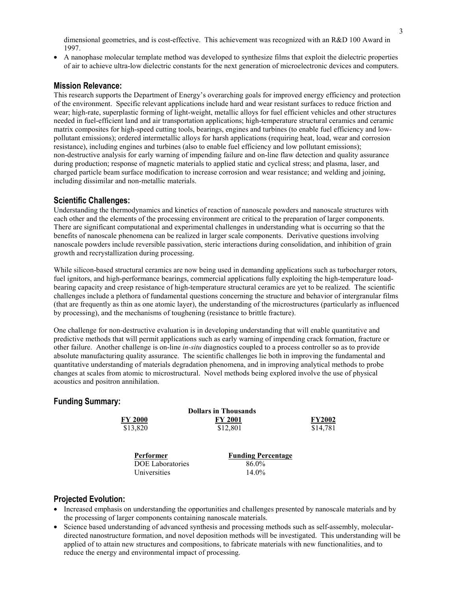dimensional geometries, and is cost-effective. This achievement was recognized with an R&D 100 Award in 1997.

• A nanophase molecular template method was developed to synthesize films that exploit the dielectric properties of air to achieve ultra-low dielectric constants for the next generation of microelectronic devices and computers.

## **Mission Relevance:**

This research supports the Department of Energy's overarching goals for improved energy efficiency and protection of the environment. Specific relevant applications include hard and wear resistant surfaces to reduce friction and wear; high-rate, superplastic forming of light-weight, metallic alloys for fuel efficient vehicles and other structures needed in fuel-efficient land and air transportation applications; high-temperature structural ceramics and ceramic matrix composites for high-speed cutting tools, bearings, engines and turbines (to enable fuel efficiency and lowpollutant emissions); ordered intermetallic alloys for harsh applications (requiring heat, load, wear and corrosion resistance), including engines and turbines (also to enable fuel efficiency and low pollutant emissions); non-destructive analysis for early warning of impending failure and on-line flaw detection and quality assurance during production; response of magnetic materials to applied static and cyclical stress; and plasma, laser, and charged particle beam surface modification to increase corrosion and wear resistance; and welding and joining, including dissimilar and non-metallic materials.

### **Scientific Challenges:**

Understanding the thermodynamics and kinetics of reaction of nanoscale powders and nanoscale structures with each other and the elements of the processing environment are critical to the preparation of larger components. There are significant computational and experimental challenges in understanding what is occurring so that the benefits of nanoscale phenomena can be realized in larger scale components. Derivative questions involving nanoscale powders include reversible passivation, steric interactions during consolidation, and inhibition of grain growth and recrystallization during processing.

While silicon-based structural ceramics are now being used in demanding applications such as turbocharger rotors, fuel ignitors, and high-performance bearings, commercial applications fully exploiting the high-temperature loadbearing capacity and creep resistance of high-temperature structural ceramics are yet to be realized. The scientific challenges include a plethora of fundamental questions concerning the structure and behavior of intergranular films (that are frequently as thin as one atomic layer), the understanding of the microstructures (particularly as influenced by processing), and the mechanisms of toughening (resistance to brittle fracture).

One challenge for non-destructive evaluation is in developing understanding that will enable quantitative and predictive methods that will permit applications such as early warning of impending crack formation, fracture or other failure. Another challenge is on-line *in-situ* diagnostics coupled to a process controller so as to provide absolute manufacturing quality assurance. The scientific challenges lie both in improving the fundamental and quantitative understanding of materials degradation phenomena, and in improving analytical methods to probe changes at scales from atomic to microstructural. Novel methods being explored involve the use of physical acoustics and positron annihilation.

## **Funding Summary:**

| <b>Dollars in Thousands</b> |                           |               |
|-----------------------------|---------------------------|---------------|
| <b>FY 2000</b>              | <b>FY 2001</b>            | <b>FY2002</b> |
| \$13,820                    | \$12,801                  | \$14,781      |
|                             |                           |               |
| Performer                   | <b>Funding Percentage</b> |               |
| <b>DOE</b> Laboratories     | 86.0%                     |               |
| Universities                | $14.0\%$                  |               |

## **Projected Evolution:**

- Increased emphasis on understanding the opportunities and challenges presented by nanoscale materials and by the processing of larger components containing nanoscale materials.
- Science based understanding of advanced synthesis and processing methods such as self-assembly, moleculardirected nanostructure formation, and novel deposition methods will be investigated. This understanding will be applied of to attain new structures and compositions, to fabricate materials with new functionalities, and to reduce the energy and environmental impact of processing.